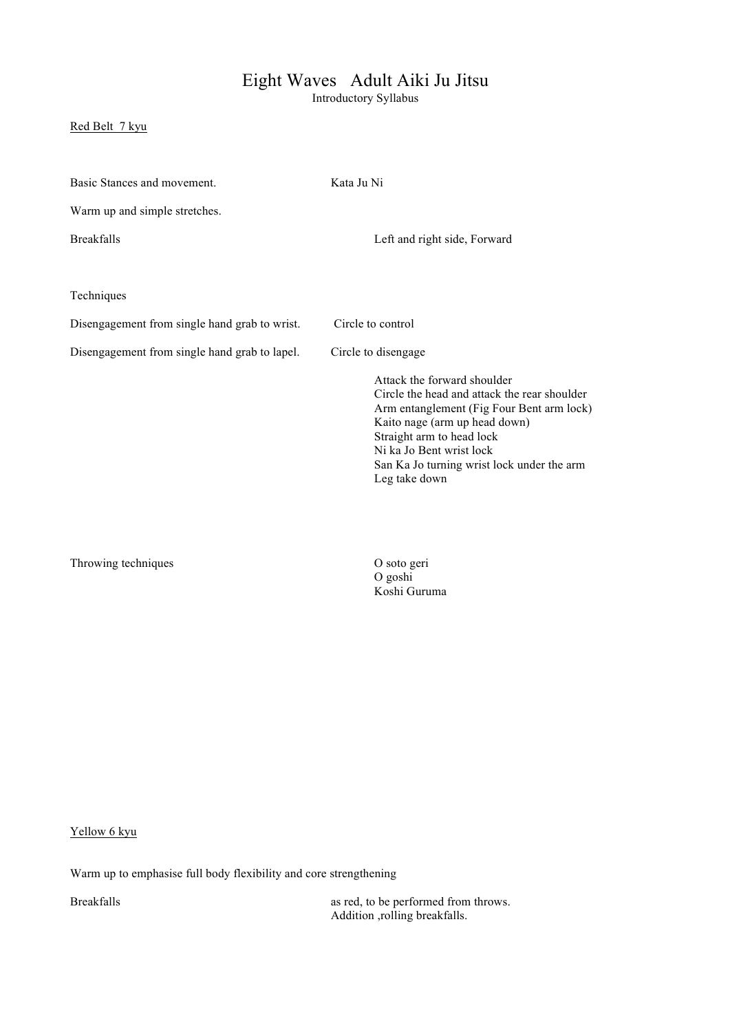## Eight Waves Adult Aiki Ju Jitsu

Introductory Syllabus

## Red Belt 7 kyu

| Basic Stances and movement.                   | Kata Ju Ni                                                                                                                                                                                                                                                                        |  |  |  |
|-----------------------------------------------|-----------------------------------------------------------------------------------------------------------------------------------------------------------------------------------------------------------------------------------------------------------------------------------|--|--|--|
| Warm up and simple stretches.                 |                                                                                                                                                                                                                                                                                   |  |  |  |
| <b>Breakfalls</b>                             | Left and right side, Forward                                                                                                                                                                                                                                                      |  |  |  |
|                                               |                                                                                                                                                                                                                                                                                   |  |  |  |
| Techniques                                    |                                                                                                                                                                                                                                                                                   |  |  |  |
| Disengagement from single hand grab to wrist. | Circle to control                                                                                                                                                                                                                                                                 |  |  |  |
| Disengagement from single hand grab to lapel. | Circle to disengage                                                                                                                                                                                                                                                               |  |  |  |
|                                               | Attack the forward shoulder<br>Circle the head and attack the rear shoulder<br>Arm entanglement (Fig Four Bent arm lock)<br>Kaito nage (arm up head down)<br>Straight arm to head lock<br>Ni ka Jo Bent wrist lock<br>San Ka Jo turning wrist lock under the arm<br>Leg take down |  |  |  |

Throwing techniques

O goshi Koshi Guruma

Yellow 6 kyu

Warm up to emphasise full body flexibility and core strengthening

Breakfalls as red, to be performed from throws. Addition ,rolling breakfalls.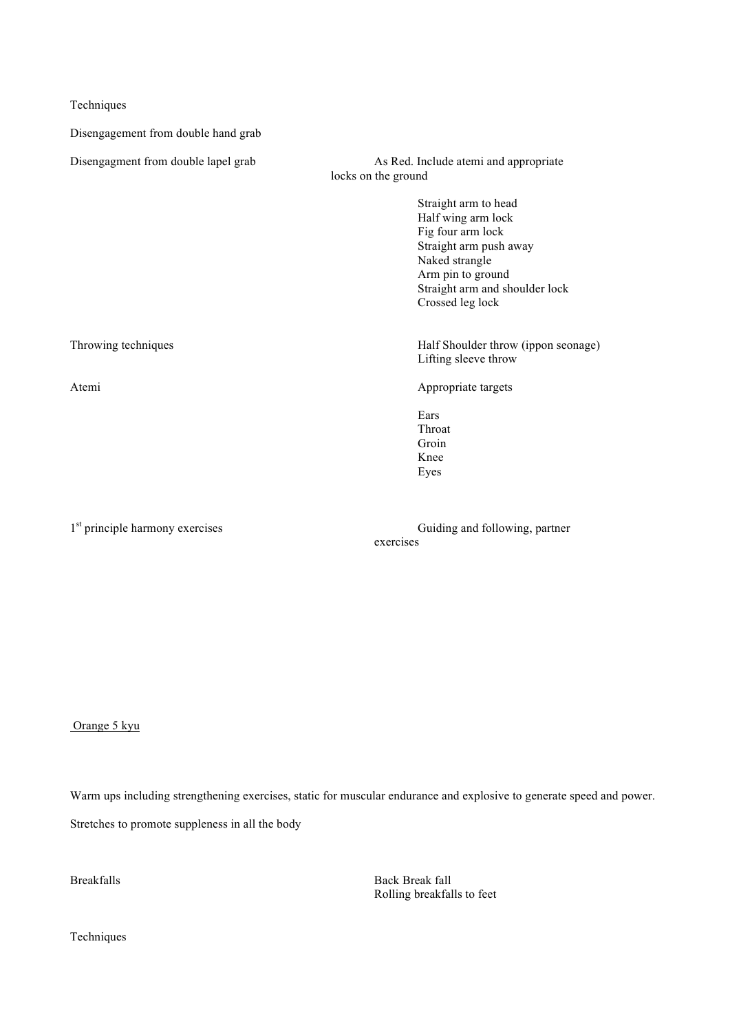Techniques

Disengagement from double hand grab

Disengagment from double lapel grab As Red. Include atemi and appropriate locks on the ground Straight arm to head Half wing arm lock Fig four arm lock Straight arm push away Naked strangle Arm pin to ground Straight arm and shoulder lock Crossed leg lock Throwing techniques Half Shoulder throw (ippon seonage) Lifting sleeve throw Atemi Appropriate targets Ears Throat Groin Knee Eyes

1<sup>st</sup> principle harmony exercises Guiding and following, partner exercises

Orange 5 kyu

Warm ups including strengthening exercises, static for muscular endurance and explosive to generate speed and power.

Stretches to promote suppleness in all the body

Breakfalls Back Break fall Rolling breakfalls to feet

Techniques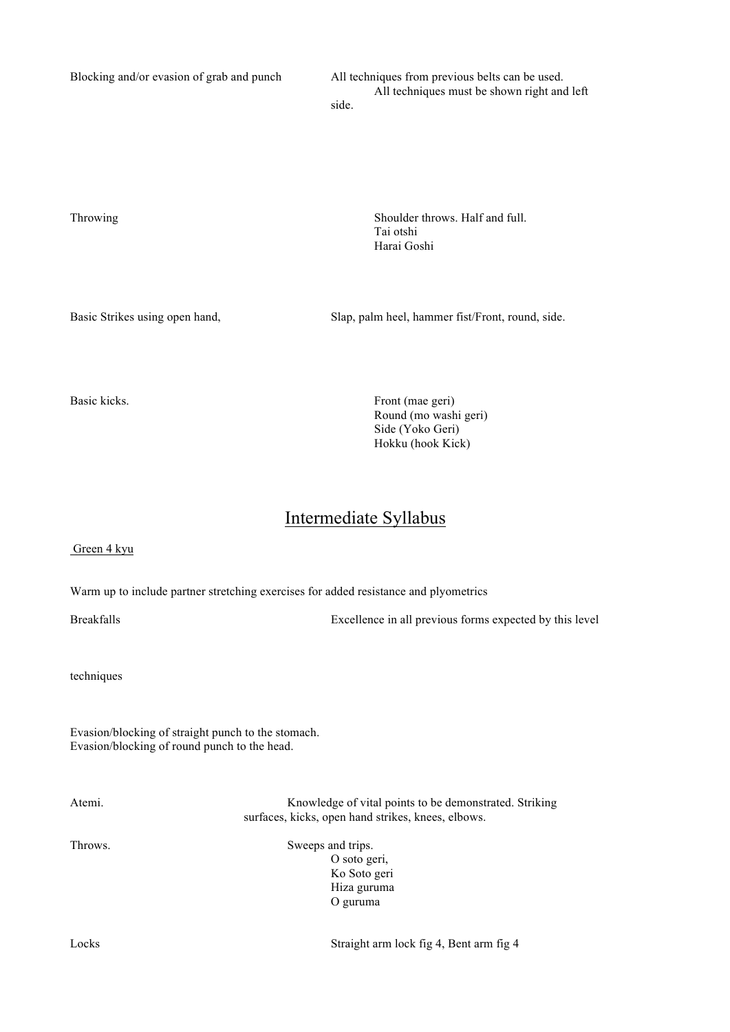Blocking and/or evasion of grab and punch All techniques from previous belts can be used.

All techniques must be shown right and left side.

Throwing Shoulder throws. Half and full.

Basic Strikes using open hand, Slap, palm heel, hammer fist/Front, round, side.

Tai otshi Harai Goshi

Basic kicks. Front (mae geri) Round (mo washi geri) Side (Yoko Geri) Hokku (hook Kick)

## Intermediate Syllabus

## Green 4 kyu

Warm up to include partner stretching exercises for added resistance and plyometrics

Breakfalls Excellence in all previous forms expected by this level

techniques

Evasion/blocking of straight punch to the stomach. Evasion/blocking of round punch to the head.

Atemi. Knowledge of vital points to be demonstrated. Striking surfaces, kicks, open hand strikes, knees, elbows.

Throws. Sweeps and trips. O soto geri, Ko Soto geri Hiza guruma O guruma

Locks Straight arm lock fig 4, Bent arm fig 4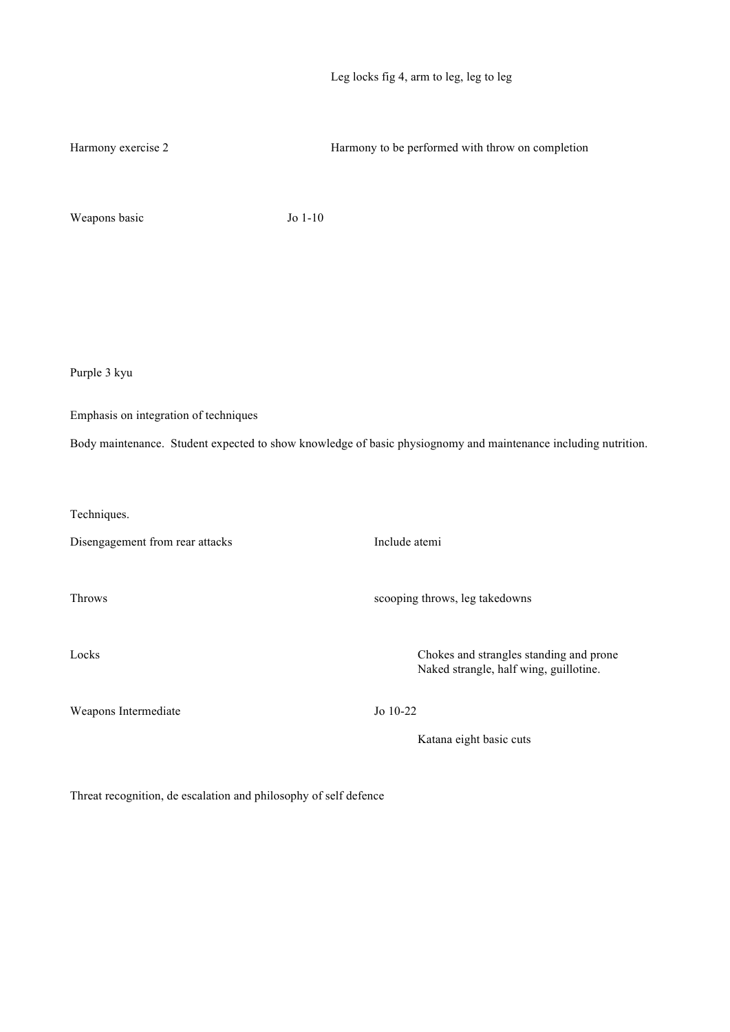| Leg locks fig 4, arm to leg, leg to leg |  |  |  |  |
|-----------------------------------------|--|--|--|--|
|                                         |  |  |  |  |

| Harmony exercise 2                    | Harmony to be performed with throw on completion                                                               |  |  |  |
|---------------------------------------|----------------------------------------------------------------------------------------------------------------|--|--|--|
| Weapons basic                         | Jo 1-10                                                                                                        |  |  |  |
|                                       |                                                                                                                |  |  |  |
|                                       |                                                                                                                |  |  |  |
|                                       |                                                                                                                |  |  |  |
| Purple 3 kyu                          |                                                                                                                |  |  |  |
| Emphasis on integration of techniques |                                                                                                                |  |  |  |
|                                       | Body maintenance. Student expected to show knowledge of basic physiognomy and maintenance including nutrition. |  |  |  |
| Techniques.                           |                                                                                                                |  |  |  |
| Disengagement from rear attacks       | Include atemi                                                                                                  |  |  |  |
| Throws                                | scooping throws, leg takedowns                                                                                 |  |  |  |
| Locks                                 | Chokes and strangles standing and prone<br>Naked strangle, half wing, guillotine.                              |  |  |  |
| Weapons Intermediate                  | Jo 10-22                                                                                                       |  |  |  |
|                                       | Katana eight basic cuts                                                                                        |  |  |  |

Threat recognition, de escalation and philosophy of self defence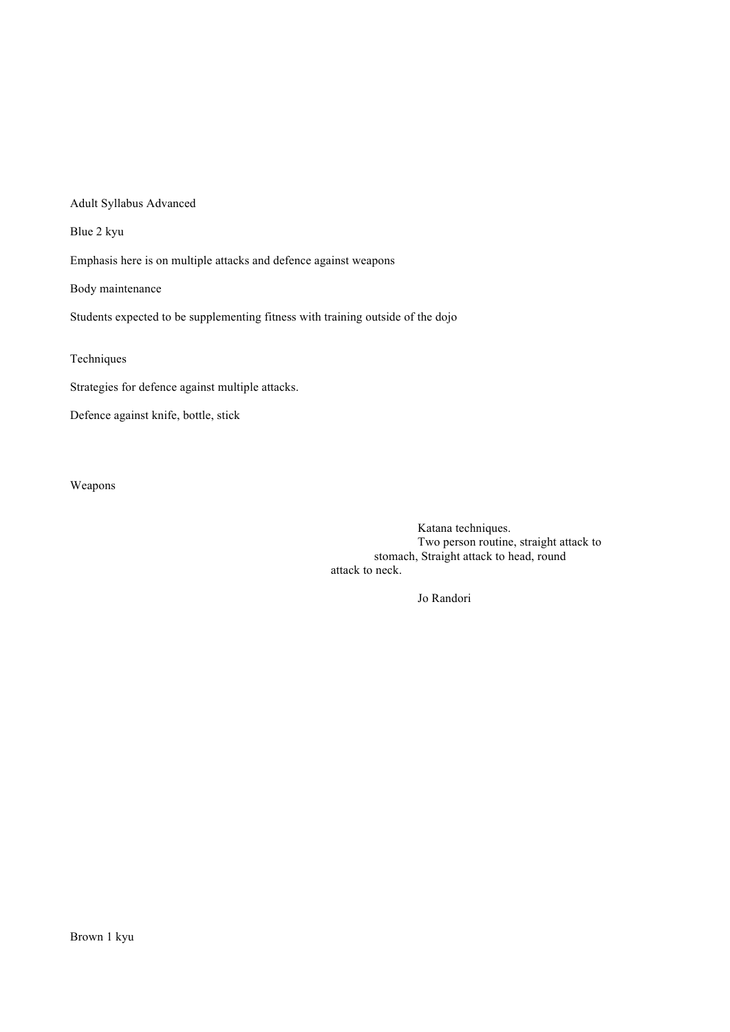Adult Syllabus Advanced

Blue 2 kyu

Emphasis here is on multiple attacks and defence against weapons

Body maintenance

Students expected to be supplementing fitness with training outside of the dojo

Techniques

Strategies for defence against multiple attacks.

Defence against knife, bottle, stick

Weapons

Katana techniques. Two person routine, straight attack to stomach, Straight attack to head, round attack to neck.

Jo Randori